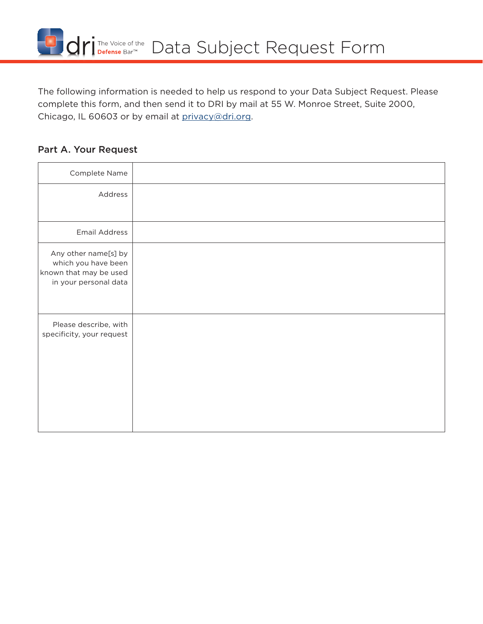

The following information is needed to help us respond to your Data Subject Request. Please complete this form, and then send it to DRI by mail at 55 W. Monroe Street, Suite 2000, Chicago, IL 60603 or by email at [privacy@dri.org](mailto:privacy%40dri.org?subject=).

## Part A. Your Request

| Complete Name                                                                                  |  |
|------------------------------------------------------------------------------------------------|--|
| Address                                                                                        |  |
|                                                                                                |  |
| <b>Email Address</b>                                                                           |  |
| Any other name[s] by<br>which you have been<br>known that may be used<br>in your personal data |  |
| Please describe, with<br>specificity, your request                                             |  |